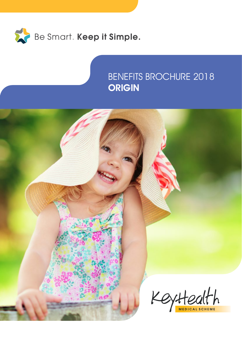

### BENEFITS BROCHURE 2018 **ORIGIN**

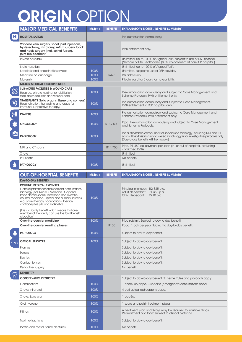# ORIGIN OPTION

|                      | <b>MAJOR MEDICAL BENEFITS</b>                                                                                                                                                                                                                                                                                                   | $MST(\leq)$  | <b>BENEFIT</b>   | <b>EXPLANATORY NOTES / BENEFIT SUMMARY</b>                                                                                                                                                                    |
|----------------------|---------------------------------------------------------------------------------------------------------------------------------------------------------------------------------------------------------------------------------------------------------------------------------------------------------------------------------|--------------|------------------|---------------------------------------------------------------------------------------------------------------------------------------------------------------------------------------------------------------|
| H                    | <b>HOSPITALISATION</b>                                                                                                                                                                                                                                                                                                          |              |                  | Pre-authorisation compulsory.                                                                                                                                                                                 |
|                      | Varicose vein surgery, facet joint injections,<br>hysterectomy, rhizotomy, reflux surgery, back<br>and neck surgery (incl. spinal fusion),<br>joint replacement.                                                                                                                                                                |              |                  | PMB entitlement only.                                                                                                                                                                                         |
|                      | Private hospitals                                                                                                                                                                                                                                                                                                               |              |                  | Unlimited, up to 100% of Agreed Tariff, subject to use of DSP hospital<br>(Netcare or Life Healthcare). (30% co-payment at non-DSP hospital.)                                                                 |
|                      | State hospitals                                                                                                                                                                                                                                                                                                                 |              |                  | Unlimited, up to 100% of Agreed Tariff.                                                                                                                                                                       |
|                      | Specialist and anaesthetist services                                                                                                                                                                                                                                                                                            | 100%         |                  | Unlimited, subject to use of DSP provider.                                                                                                                                                                    |
|                      | Medicine on discharge                                                                                                                                                                                                                                                                                                           | 100%<br>100% | R475             | Per admission.<br>Private ward for 3 days for natural birth.                                                                                                                                                  |
|                      | Maternity<br><b>MAJOR MEDICAL OCCURRENCES</b>                                                                                                                                                                                                                                                                                   |              |                  |                                                                                                                                                                                                               |
|                      | <b>SUB-ACUTE FACILITIES &amp; WOUND CARE</b>                                                                                                                                                                                                                                                                                    |              |                  |                                                                                                                                                                                                               |
| $\otimes$            | Hospice, private nursing, rehabilitation,<br>step-down facilities and wound care.                                                                                                                                                                                                                                               | 100%         |                  | Pre-authorisation compulsory and subject to Case Management and<br>Scheme Protocols. PMB entitlement only.                                                                                                    |
| <b>A</b>             | TRANSPLANTS (Solid organs, tissue and corneas)<br>Hospitalisation, harvesting and drugs for<br>immuno-suppressive therapy.                                                                                                                                                                                                      | 100%         |                  | Pre-authorisation compulsory and subject to Case Management.<br>PMB entitlement in DSP hospitals only.                                                                                                        |
| $\frac{1}{\sqrt{2}}$ | <b>DIALYSIS</b>                                                                                                                                                                                                                                                                                                                 | 100%         |                  | Pre-authorisation compulsory and subject to Case Management and<br>Scheme Protocols. PMB entitlement only.                                                                                                    |
| $\frac{1}{2}$        | <b>ONCOLOGY</b>                                                                                                                                                                                                                                                                                                                 | 100%         | R139 500         | Pfpa. Pre-authorisation compulsory and subject to Case Management<br>and Scheme Protocols.                                                                                                                    |
| 屋                    | <b>RADIOLOGY</b>                                                                                                                                                                                                                                                                                                                | 100%         |                  | Pre-authorisation compulsory for specialised radiology, including MRI and CT<br>scans. Hospitalisation not covered if radiology is for investigative purposes only.<br>(Dav-to-day benefits will then apply.) |
|                      | MRI and CT scans                                                                                                                                                                                                                                                                                                                |              | R14 700          | Pfpa. R1 480 co-payment per scan (in- or out-of-hospital), excluding<br>confirmed PMBs.                                                                                                                       |
|                      | X-rays                                                                                                                                                                                                                                                                                                                          |              |                  | Unlimited.                                                                                                                                                                                                    |
|                      | PET scans                                                                                                                                                                                                                                                                                                                       |              |                  | No benefit.                                                                                                                                                                                                   |
| $\bullet$            | <b>PATHOLOGY</b>                                                                                                                                                                                                                                                                                                                | 100%         |                  | Unlimited.                                                                                                                                                                                                    |
|                      | <b>OUT-OF-HOSPITAL BENEFITS</b>                                                                                                                                                                                                                                                                                                 | $MST(\leq)$  | <b>BENEFIT</b>   | <b>EXPLANATORY NOTES / BENEFIT SUMMARY</b>                                                                                                                                                                    |
|                      | <b>DAY-TO-DAY BENEFITS</b>                                                                                                                                                                                                                                                                                                      |              |                  |                                                                                                                                                                                                               |
|                      | <b>ROUTINE MEDICAL EXPENSES</b><br>General practitioner and specialist consultations,<br>radiology (incl. Nucleur Medicine Study and<br>bone density scans). Prescribed and over-the-<br>counter medicine. Optical and auxiliary services,<br>e.g. physiotherapy, occupational therapy,<br>contraceptive pills and biokinetics. | 100%         |                  | Principal member: R2 325 p.a.<br>Adult dependant: R1 358 p.a.<br>Child depedant: R710 p.a.                                                                                                                    |
|                      | (This is a family benefit which means that one<br>member of the family can use the total benefit<br>allocation.)                                                                                                                                                                                                                |              |                  |                                                                                                                                                                                                               |
|                      | Over-the-counter medicine                                                                                                                                                                                                                                                                                                       | 100%         |                  | Pfpa sublimit. Subject to day-to-day benefit.                                                                                                                                                                 |
|                      | Over-the-counter reading glasses                                                                                                                                                                                                                                                                                                |              | R <sub>100</sub> |                                                                                                                                                                                                               |
|                      |                                                                                                                                                                                                                                                                                                                                 |              |                  | Pbpa. 1 pair per year. Subject to day-to-day benefit.                                                                                                                                                         |
| VO                   | <b>PATHOLOGY</b>                                                                                                                                                                                                                                                                                                                | 100%         |                  | Subject to day-to-day benefit.                                                                                                                                                                                |
|                      | <b>OPTICAL SERVICES</b>                                                                                                                                                                                                                                                                                                         | 100%         |                  | Subject to day-to-day benefit.                                                                                                                                                                                |
|                      | Frames                                                                                                                                                                                                                                                                                                                          |              |                  | Subject to day-to-day benefit.                                                                                                                                                                                |
|                      | Lenses                                                                                                                                                                                                                                                                                                                          |              |                  | Subject to day-to-day benefit.                                                                                                                                                                                |
|                      | Eye test                                                                                                                                                                                                                                                                                                                        |              |                  | Subject to day-to-day benefit.                                                                                                                                                                                |
|                      | Contact lenses                                                                                                                                                                                                                                                                                                                  |              |                  | Subject to day-to-day benefit.                                                                                                                                                                                |
|                      | Refractive surgery                                                                                                                                                                                                                                                                                                              |              |                  | No benefit.                                                                                                                                                                                                   |
| W                    | <b>DENTISTRY</b>                                                                                                                                                                                                                                                                                                                |              |                  |                                                                                                                                                                                                               |
|                      | <b>CONSERVATIVE DENTISTRY</b>                                                                                                                                                                                                                                                                                                   |              |                  | Subject to day-to-day benefit. Scheme Rules and protocols apply.                                                                                                                                              |
|                      | Consultations                                                                                                                                                                                                                                                                                                                   | 100%         |                  | 1 check-up pbpa. 3 specific (emergency) consultations pbpa.                                                                                                                                                   |
|                      | X-rays: Intra-oral                                                                                                                                                                                                                                                                                                              | 100%         |                  | 4 peri-apical radiographs pbpa.                                                                                                                                                                               |
|                      | X-rays: Extra-oral                                                                                                                                                                                                                                                                                                              | 100%         |                  | $1$ pbp $3a$ .                                                                                                                                                                                                |
|                      | Oral hygiene                                                                                                                                                                                                                                                                                                                    | 100%         |                  | 1 scale and polish treatment pbpa.                                                                                                                                                                            |
|                      | Fillings                                                                                                                                                                                                                                                                                                                        | 100%         |                  | A treatment plan and X-rays may be required for multiple fillings.<br>Re-treatment of a tooth subject to clinical protocols.                                                                                  |
|                      | Tooth extractions                                                                                                                                                                                                                                                                                                               | 100%<br>100% |                  | Subject to day-to-day benefit.                                                                                                                                                                                |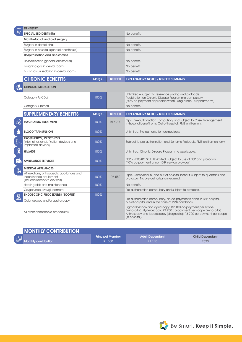|                                 | <b>DENTISTRY</b>                                                                                   |             |                |                                                                                                                                                                                                                                  |  |  |
|---------------------------------|----------------------------------------------------------------------------------------------------|-------------|----------------|----------------------------------------------------------------------------------------------------------------------------------------------------------------------------------------------------------------------------------|--|--|
|                                 | <b>SPECIALISED DENTISTRY</b>                                                                       |             |                | No benefit.                                                                                                                                                                                                                      |  |  |
|                                 | Maxillo-facial and oral surgery                                                                    |             |                |                                                                                                                                                                                                                                  |  |  |
|                                 | Surgery in dental chair                                                                            |             |                | No benefit.                                                                                                                                                                                                                      |  |  |
|                                 | Surgery in-hospital (general anesthesia)                                                           |             |                | No benefit.                                                                                                                                                                                                                      |  |  |
|                                 | <b>Hospitalisation and anesthetics</b>                                                             |             |                |                                                                                                                                                                                                                                  |  |  |
|                                 | Hospitalisation (general anesthesia)                                                               |             |                | No benefit.                                                                                                                                                                                                                      |  |  |
|                                 | Laughing gas in dental rooms                                                                       |             |                | No benefit.                                                                                                                                                                                                                      |  |  |
|                                 | IV conscious sedation in dental rooms                                                              |             |                | No benefit.                                                                                                                                                                                                                      |  |  |
|                                 | <b>CHRONIC BENEFITS</b>                                                                            | $MST(\leq)$ | <b>BENEFIT</b> | <b>EXPLANATORY NOTES / BENEFIT SUMMARY</b>                                                                                                                                                                                       |  |  |
|                                 | <b>CHRONIC MEDICATION</b>                                                                          |             |                |                                                                                                                                                                                                                                  |  |  |
|                                 | Category <b>A</b> (CDL)                                                                            | 100%        |                | Unlimited - subject to reference pricing and protocols.<br>Registration on Chronic Disease Programme compulsory.<br>(30% co-payment applicable when using a non-DSP pharmacy.)                                                   |  |  |
|                                 | Category <b>B</b> (other)                                                                          |             |                | No benefit.                                                                                                                                                                                                                      |  |  |
|                                 |                                                                                                    |             |                |                                                                                                                                                                                                                                  |  |  |
|                                 | <b>SUPPLEMENTARY BENEFITS</b>                                                                      | $MST(\leq)$ | <b>BENEFIT</b> | <b>EXPLANATORY NOTES / BENEFIT SUMMARY</b>                                                                                                                                                                                       |  |  |
| ≪                               | <b>PSYCHIATRIC TREATMENT</b>                                                                       | 100%        | R17 700        | Pfpa. Pre-authorisation compulsory and subject to Case Management.<br>In-hospital benefit only. Out-of-hospital: PMB entitlement.                                                                                                |  |  |
| $\bullet$                       | <b>BLOOD TRANSFUSION</b>                                                                           | 100%        |                | Unlimited. Pre-authorisation compulsory.                                                                                                                                                                                         |  |  |
|                                 | <b>PROSTHETICS / PROSTHESIS</b><br>(Internal, external, fixation devices and<br>implanted devices) | 100%        |                | Subject to pre-authorisation and Scheme Protocols. PMB entitlement only.                                                                                                                                                         |  |  |
| $\boldsymbol{\hat{\mathsf{X}}}$ | <b>HIV/AIDS</b>                                                                                    | 100%        |                | Unlimited. Chronic Disease Programme applicable.                                                                                                                                                                                 |  |  |
| $\frac{\overline{O}}{\circ}$    | <b>AMBULANCE SERVICES</b>                                                                          | 100%        |                | DSP - NETCARE 911. Unlimited, subject to use of DSP and protocols.<br>(40% co-payment at non-DSP service provider.)                                                                                                              |  |  |
| $\frac{1}{67}$                  | <b>MEDICAL APPLIANCES</b>                                                                          |             |                |                                                                                                                                                                                                                                  |  |  |
|                                 | Wheelchairs, orthopaedic appliances and<br>incontinence equipment<br>(incl.contraceptive devices). | 100%        | R6 550         | Pfpa. Combined in- and out-of-hospital benefit, subject to quantities and<br>protocols. No pre-authorisation required.                                                                                                           |  |  |
|                                 | Hearing aids and maintenance                                                                       | 100%        |                | No benefit.                                                                                                                                                                                                                      |  |  |
|                                 | Oxygen/nebulizer/glucometer                                                                        |             |                | Pre-authorisation compulsory and subject to protocols.                                                                                                                                                                           |  |  |
| <u>2</u>                        | <b>ENDOSCOPIC PROCEDURES (SCOPES)</b>                                                              | 100%        |                |                                                                                                                                                                                                                                  |  |  |
|                                 | Colonoscopy and/or gastroscopy                                                                     |             |                | Pre-authorisation compulsory. No co-payment if done in DSP hospital,<br>out-of-hospital and in the case of PMB conditions.                                                                                                       |  |  |
|                                 | All other endoscopic procedures                                                                    |             |                | Sigmoidoscopy and cystoscopy; R2 100 co-payment per scope<br>(in-hospital). Hysteroscopy; R2 950 co-payment per scope (in-hospital).<br>Arthroscopy and laparoscopy (diagnostic): R3 700 co-payment per scope<br>$(in-hospital)$ |  |  |

| <b>MONTHLY CONTRIBUTION</b> |                        |                         |                        |                        |  |
|-----------------------------|------------------------|-------------------------|------------------------|------------------------|--|
| 目                           |                        | <b>Principal Member</b> | <b>Adult Dependant</b> | <b>Child Dependant</b> |  |
|                             | Monthly contribution . | R1 600                  | R1 140                 | R520                   |  |